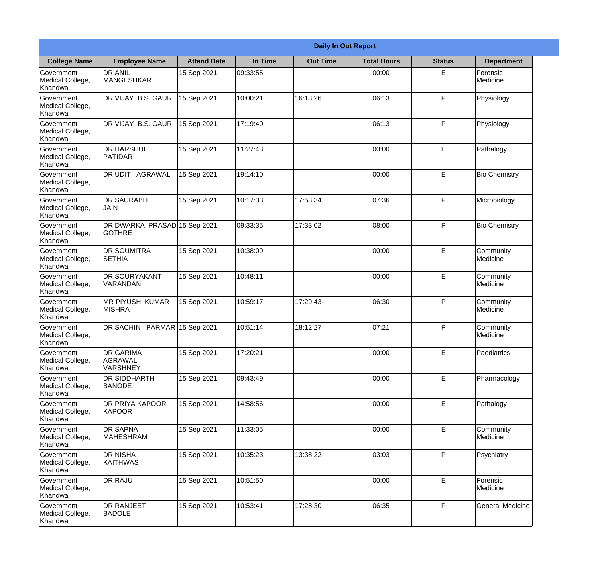|                                           | <b>Daily In Out Report</b>                     |                    |          |                 |                    |               |                         |  |
|-------------------------------------------|------------------------------------------------|--------------------|----------|-----------------|--------------------|---------------|-------------------------|--|
| <b>College Name</b>                       | <b>Employee Name</b>                           | <b>Attand Date</b> | In Time  | <b>Out Time</b> | <b>Total Hours</b> | <b>Status</b> | <b>Department</b>       |  |
| Government<br>Medical College,<br>Khandwa | <b>DR ANIL</b><br><b>MANGESHKAR</b>            | 15 Sep 2021        | 09:33:55 |                 | 00:00              | E             | Forensic<br>Medicine    |  |
| Government<br>Medical College,<br>Khandwa | DR VIJAY B.S. GAUR                             | 15 Sep 2021        | 10:00:21 | 16:13:26        | 06:13              | P             | Physiology              |  |
| Government<br>Medical College,<br>Khandwa | DR VIJAY B.S. GAUR                             | 15 Sep 2021        | 17:19:40 |                 | 06:13              | P             | Physiology              |  |
| Government<br>Medical College,<br>Khandwa | <b>DR HARSHUL</b><br>PATIDAR                   | 15 Sep 2021        | 11:27:43 |                 | 00:00              | E             | Pathalogy               |  |
| Government<br>Medical College,<br>Khandwa | DR UDIT AGRAWAL                                | 15 Sep 2021        | 19:14:10 |                 | 00:00              | E             | <b>Bio Chemistry</b>    |  |
| Government<br>Medical College,<br>Khandwa | <b>DR SAURABH</b><br><b>JAIN</b>               | 15 Sep 2021        | 10:17:33 | 17:53:34        | 07:36              | P             | Microbiology            |  |
| Government<br>Medical College,<br>Khandwa | DR DWARKA PRASAD 15 Sep 2021<br><b>GOTHRE</b>  |                    | 09:33:35 | 17:33:02        | 08:00              | P             | <b>Bio Chemistry</b>    |  |
| Government<br>Medical College,<br>Khandwa | <b>DR SOUMITRA</b><br><b>SETHIA</b>            | 15 Sep 2021        | 10:38:09 |                 | 00:00              | E             | Community<br>Medicine   |  |
| Government<br>Medical College,<br>Khandwa | <b>DR SOURYAKANT</b><br>VARANDANI              | 15 Sep 2021        | 10:48:11 |                 | 00:00              | E             | Community<br>Medicine   |  |
| Government<br>Medical College,<br>Khandwa | <b>MR PIYUSH KUMAR</b><br><b>MISHRA</b>        | 15 Sep 2021        | 10:59:17 | 17:29:43        | 06:30              | P             | Community<br>Medicine   |  |
| Government<br>Medical College,<br>Khandwa | DR SACHIN PARMAR 15 Sep 2021                   |                    | 10:51:14 | 18:12:27        | 07:21              | $\mathsf{P}$  | Community<br>Medicine   |  |
| Government<br>Medical College,<br>Khandwa | <b>DR GARIMA</b><br>AGRAWAL<br><b>VARSHNEY</b> | 15 Sep 2021        | 17:20:21 |                 | 00:00              | E             | Paediatrics             |  |
| Government<br>Medical College,<br>Khandwa | <b>DR SIDDHARTH</b><br><b>BANODE</b>           | 15 Sep 2021        | 09:43:49 |                 | 00:00              | E             | Pharmacology            |  |
| Government<br>Medical College,<br>Khandwa | DR PRIYA KAPOOR<br>KAPOOR                      | 15 Sep 2021        | 14:58:56 |                 | 00:00              | E             | Pathalogy               |  |
| Government<br>Medical College,<br>Khandwa | <b>DR SAPNA</b><br>MAHESHRAM                   | 15 Sep 2021        | 11:33:05 |                 | 00:00              | E             | Community<br>Medicine   |  |
| Government<br>Medical College,<br>Khandwa | <b>DR NISHA</b><br><b>KAITHWAS</b>             | 15 Sep 2021        | 10:35:23 | 13:38:22        | 03:03              | P             | Psychiatry              |  |
| Government<br>Medical College,<br>Khandwa | <b>DR RAJU</b>                                 | 15 Sep 2021        | 10:51:50 |                 | 00:00              | E             | Forensic<br>Medicine    |  |
| Government<br>Medical College,<br>Khandwa | <b>DR RANJEET</b><br><b>BADOLE</b>             | 15 Sep 2021        | 10:53:41 | 17:28:30        | 06:35              | P             | <b>General Medicine</b> |  |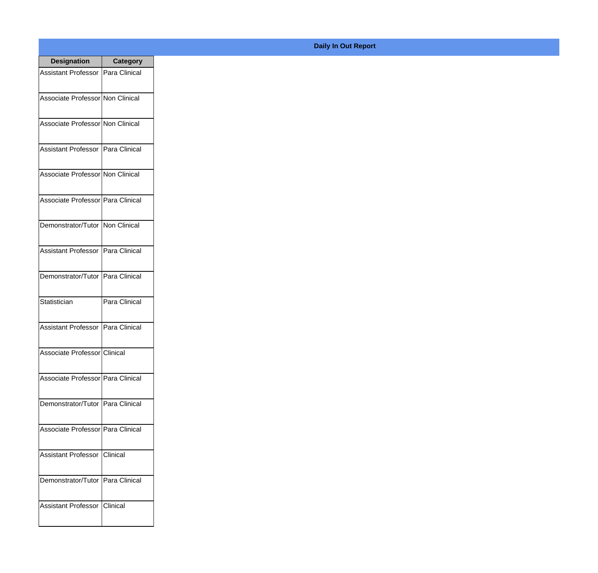| <b>Designation</b>                  | <b>Category</b> |
|-------------------------------------|-----------------|
| Assistant Professor   Para Clinical |                 |
| Associate Professor Non Clinical    |                 |
| Associate Professor Non Clinical    |                 |
| Assistant Professor   Para Clinical |                 |
| Associate Professor Non Clinical    |                 |
| Associate Professor Para Clinical   |                 |
| Demonstrator/Tutor   Non Clinical   |                 |
| Assistant Professor   Para Clinical |                 |
| Demonstrator/Tutor   Para Clinical  |                 |
| Statistician                        | Para Clinical   |
| Assistant Professor                 | Para Clinical   |
| Associate Professor Clinical        |                 |
| Associate Professor Para Clinical   |                 |
| Demonstrator/Tutor   Para Clinical  |                 |
| Associate Professor   Para Clinical |                 |
| <b>Assistant Professor</b>          | <b>Clinical</b> |
| Demonstrator/Tutor   Para Clinical  |                 |
| Assistant Professor   Clinical      |                 |

## **Daily In Out Report**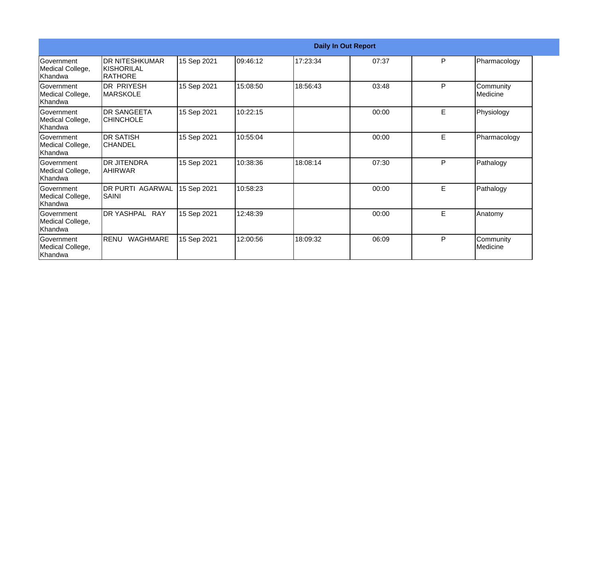|                                                  | <b>Daily In Out Report</b>                     |             |          |          |       |   |                       |  |  |
|--------------------------------------------------|------------------------------------------------|-------------|----------|----------|-------|---|-----------------------|--|--|
| Government<br>Medical College,<br>Khandwa        | <b>DR NITESHKUMAR</b><br>KISHORILAL<br>RATHORE | 15 Sep 2021 | 09:46:12 | 17:23:34 | 07:37 | P | Pharmacology          |  |  |
| Government<br>Medical College,<br>Khandwa        | <b>DR PRIYESH</b><br>IMARSKOLE                 | 15 Sep 2021 | 15:08:50 | 18:56:43 | 03:48 | P | Community<br>Medicine |  |  |
| Government<br>Medical College,<br>Khandwa        | <b>DR SANGEETA</b><br><b>CHINCHOLE</b>         | 15 Sep 2021 | 10:22:15 |          | 00:00 | E | Physiology            |  |  |
| <b>Sovernment</b><br>Medical College,<br>Khandwa | <b>DR SATISH</b><br>ICHANDEL                   | 15 Sep 2021 | 10:55:04 |          | 00:00 | E | Pharmacology          |  |  |
| Government<br>Medical College,<br>Khandwa        | <b>DR JITENDRA</b><br><b>AHIRWAR</b>           | 15 Sep 2021 | 10:38:36 | 18:08:14 | 07:30 | P | Pathalogy             |  |  |
| Government<br>Medical College,<br>Khandwa        | <b>DR PURTI AGARWAL</b><br>SAINI               | 15 Sep 2021 | 10:58:23 |          | 00:00 | E | Pathalogy             |  |  |
| <b>Government</b><br>Medical College,<br>Khandwa | DR YASHPAL RAY                                 | 15 Sep 2021 | 12:48:39 |          | 00:00 | E | Anatomy               |  |  |
| Government<br>Medical College,<br>Khandwa        | <b>RENU</b><br>WAGHMARE                        | 15 Sep 2021 | 12:00:56 | 18:09:32 | 06:09 | P | Community<br>Medicine |  |  |